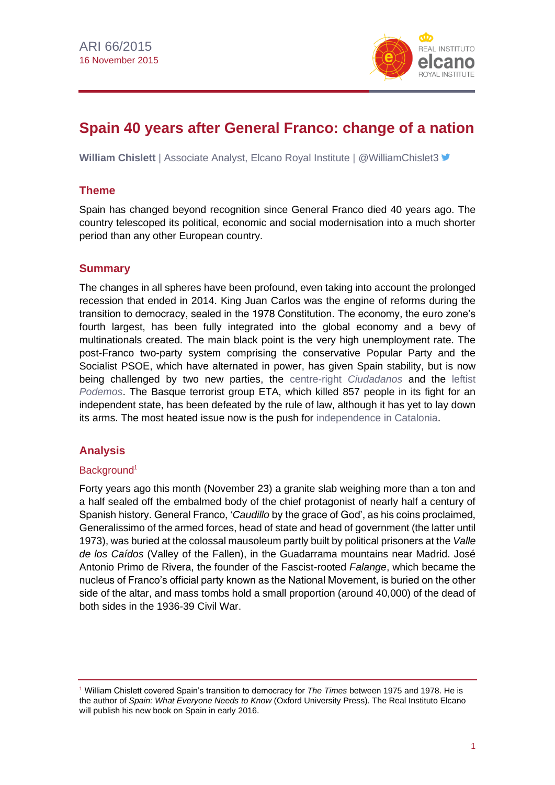

# **Spain 40 years after General Franco: change of a nation**

**William Chislett** | Associate Analyst, Elcano Royal Institute | @WilliamChislet3 <del>■</del>

# **Theme**

Spain has changed beyond recognition since General Franco died 40 years ago. The country telescoped its political, economic and social modernisation into a much shorter period than any other European country.

# **Summary**

The changes in all spheres have been profound, even taking into account the prolonged recession that ended in 2014. King Juan Carlos was the engine of reforms during the transition to democracy, sealed in the 1978 Constitution. The economy, the euro zone's fourth largest, has been fully integrated into the global economy and a bevy of multinationals created. The main black point is the very high unemployment rate. The post-Franco two-party system comprising the conservative Popular Party and the Socialist PSOE, which have alternated in power, has given Spain stability, but is now being challenged by two new parties, the [centre-right](http://www.realinstitutoelcano.org/wps/portal/web/rielcano_en/contenido?WCM_GLOBAL_CONTEXT=/elcano/elcano_in/zonas_in/international+economy/commentary-chislett-ciudadanos-gains-ground-in-spains-new-political-landscape) *Ciudadanos* and the [leftist](http://www.realinstitutoelcano.org/wps/portal/web/rielcano_en/contenido?WCM_GLOBAL_CONTEXT=/elcano/elcano_in/zonas_in/commentary-chislett-can-spain-afford-the-economic-programme-of-podemos)  *[Podemos](http://www.realinstitutoelcano.org/wps/portal/web/rielcano_en/contenido?WCM_GLOBAL_CONTEXT=/elcano/elcano_in/zonas_in/commentary-chislett-can-spain-afford-the-economic-programme-of-podemos)*. The Basque terrorist group ETA, which killed 857 people in its fight for an independent state, has been defeated by the rule of law, although it has yet to lay down its arms. The most heated issue now is the push for [independence in Catalonia.](http://www.realinstitutoelcano.org/wps/portal/web/rielcano_en/contenido?WCM_GLOBAL_CONTEXT=/elcano/elcano_in/zonas_in/europe/commentary-chislett-pro-independence-parties-win-the-catalan-regional-elections)

# **Analysis**

# Background<sup>1</sup>

Forty years ago this month (November 23) a granite slab weighing more than a ton and a half sealed off the embalmed body of the chief protagonist of nearly half a century of Spanish history. General Franco, '*Caudillo* by the grace of God', as his coins proclaimed, Generalissimo of the armed forces, head of state and head of government (the latter until 1973), was buried at the colossal mausoleum partly built by political prisoners at the *Valle de los Caídos* (Valley of the Fallen), in the Guadarrama mountains near Madrid. José Antonio Primo de Rivera, the founder of the Fascist-rooted *Falange*, which became the nucleus of Franco's official party known as the National Movement, is buried on the other side of the altar, and mass tombs hold a small proportion (around 40,000) of the dead of both sides in the 1936-39 Civil War.

<sup>1</sup> William Chislett covered Spain's transition to democracy for *The Times* between 1975 and 1978. He is the author of *Spain: What Everyone Needs to Know* (Oxford University Press). The Real Instituto Elcano will publish his new book on Spain in early 2016.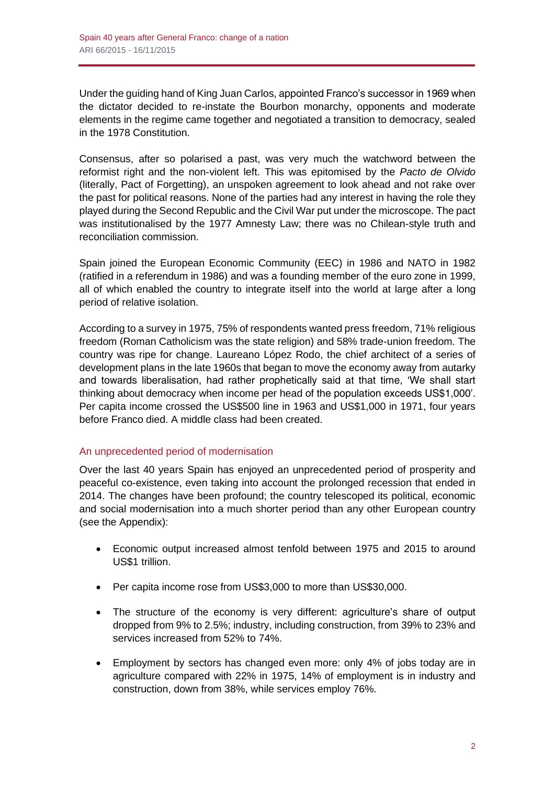Under the guiding hand of King Juan Carlos, appointed Franco's successor in 1969 when the dictator decided to re-instate the Bourbon monarchy, opponents and moderate elements in the regime came together and negotiated a transition to democracy, sealed in the 1978 Constitution.

Consensus, after so polarised a past, was very much the watchword between the reformist right and the non-violent left. This was epitomised by the *Pacto de Olvido* (literally, Pact of Forgetting), an unspoken agreement to look ahead and not rake over the past for political reasons. None of the parties had any interest in having the role they played during the Second Republic and the Civil War put under the microscope. The pact was institutionalised by the 1977 Amnesty Law; there was no Chilean-style truth and reconciliation commission.

Spain joined the European Economic Community (EEC) in 1986 and NATO in 1982 (ratified in a referendum in 1986) and was a founding member of the euro zone in 1999, all of which enabled the country to integrate itself into the world at large after a long period of relative isolation.

According to a survey in 1975, 75% of respondents wanted press freedom, 71% religious freedom (Roman Catholicism was the state religion) and 58% trade-union freedom. The country was ripe for change. Laureano López Rodo, the chief architect of a series of development plans in the late 1960s that began to move the economy away from autarky and towards liberalisation, had rather prophetically said at that time, 'We shall start thinking about democracy when income per head of the population exceeds US\$1,000'. Per capita income crossed the US\$500 line in 1963 and US\$1,000 in 1971, four years before Franco died. A middle class had been created.

# An unprecedented period of modernisation

Over the last 40 years Spain has enjoyed an unprecedented period of prosperity and peaceful co-existence, even taking into account the prolonged recession that ended in 2014. The changes have been profound; the country telescoped its political, economic and social modernisation into a much shorter period than any other European country (see the Appendix):

- Economic output increased almost tenfold between 1975 and 2015 to around US\$1 trillion.
- Per capita income rose from US\$3,000 to more than US\$30,000.
- The structure of the economy is very different: agriculture's share of output dropped from 9% to 2.5%; industry, including construction, from 39% to 23% and services increased from 52% to 74%.
- Employment by sectors has changed even more: only 4% of jobs today are in agriculture compared with 22% in 1975, 14% of employment is in industry and construction, down from 38%, while services employ 76%.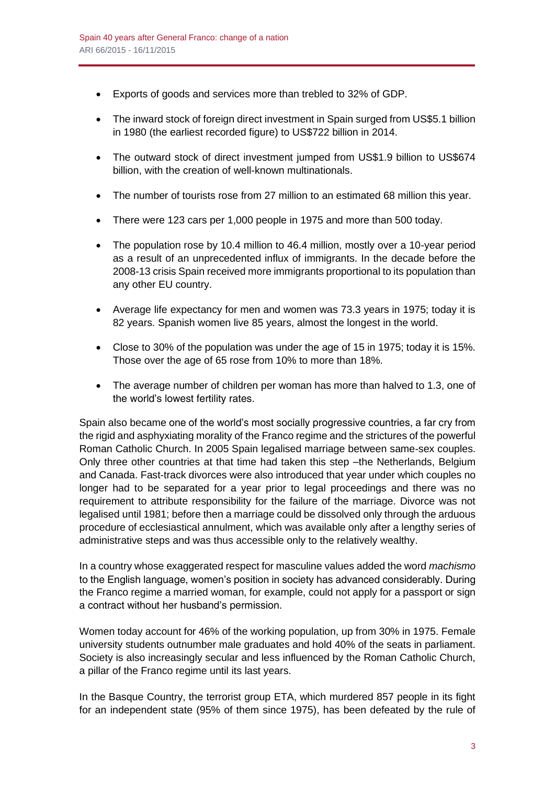- Exports of goods and services more than trebled to 32% of GDP.
- The inward stock of foreign direct investment in Spain surged from US\$5.1 billion in 1980 (the earliest recorded figure) to US\$722 billion in 2014.
- The outward stock of direct investment jumped from US\$1.9 billion to US\$674 billion, with the creation of well-known multinationals.
- The number of tourists rose from 27 million to an estimated 68 million this year.
- There were 123 cars per 1,000 people in 1975 and more than 500 today.
- The population rose by 10.4 million to 46.4 million, mostly over a 10-year period as a result of an unprecedented influx of immigrants. In the decade before the 2008-13 crisis Spain received more immigrants proportional to its population than any other EU country.
- Average life expectancy for men and women was 73.3 years in 1975; today it is 82 years. Spanish women live 85 years, almost the longest in the world.
- Close to 30% of the population was under the age of 15 in 1975; today it is 15%. Those over the age of 65 rose from 10% to more than 18%.
- The average number of children per woman has more than halved to 1.3, one of the world's lowest fertility rates.

Spain also became one of the world's most socially progressive countries, a far cry from the rigid and asphyxiating morality of the Franco regime and the strictures of the powerful Roman Catholic Church. In 2005 Spain legalised marriage between same-sex couples. Only three other countries at that time had taken this step –the Netherlands, Belgium and Canada. Fast-track divorces were also introduced that year under which couples no longer had to be separated for a year prior to legal proceedings and there was no requirement to attribute responsibility for the failure of the marriage. Divorce was not legalised until 1981; before then a marriage could be dissolved only through the arduous procedure of ecclesiastical annulment, which was available only after a lengthy series of administrative steps and was thus accessible only to the relatively wealthy.

In a country whose exaggerated respect for masculine values added the word *machismo* to the English language, women's position in society has advanced considerably. During the Franco regime a married woman, for example, could not apply for a passport or sign a contract without her husband's permission.

Women today account for 46% of the working population, up from 30% in 1975. Female university students outnumber male graduates and hold 40% of the seats in parliament. Society is also increasingly secular and less influenced by the Roman Catholic Church, a pillar of the Franco regime until its last years.

In the Basque Country, the terrorist group ETA, which murdered 857 people in its fight for an independent state (95% of them since 1975), has been defeated by the rule of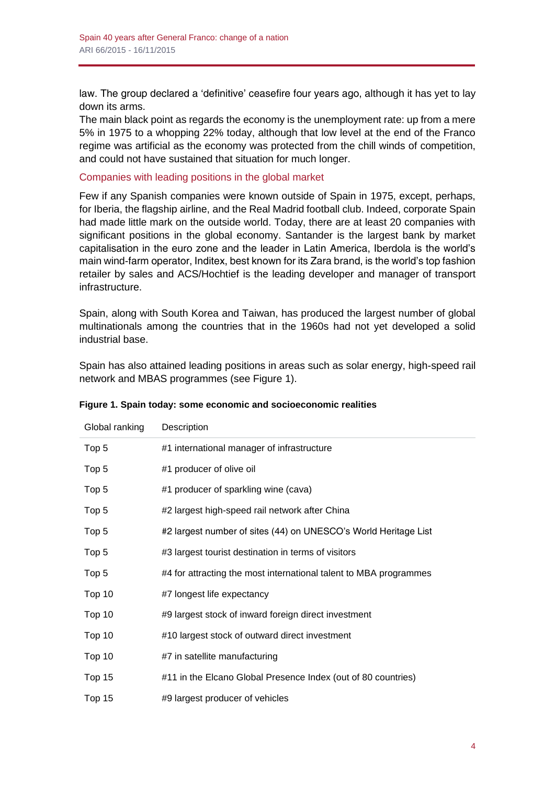law. The group declared a 'definitive' ceasefire four years ago, although it has yet to lay down its arms.

The main black point as regards the economy is the unemployment rate: up from a mere 5% in 1975 to a whopping 22% today, although that low level at the end of the Franco regime was artificial as the economy was protected from the chill winds of competition, and could not have sustained that situation for much longer.

### Companies with leading positions in the global market

Few if any Spanish companies were known outside of Spain in 1975, except, perhaps, for Iberia, the flagship airline, and the Real Madrid football club. Indeed, corporate Spain had made little mark on the outside world. Today, there are at least 20 companies with significant positions in the global economy. Santander is the largest bank by market capitalisation in the euro zone and the leader in Latin America, Iberdola is the world's main wind-farm operator, Inditex, best known for its Zara brand, is the world's top fashion retailer by sales and ACS/Hochtief is the leading developer and manager of transport infrastructure.

Spain, along with South Korea and Taiwan, has produced the largest number of global multinationals among the countries that in the 1960s had not yet developed a solid industrial base.

Spain has also attained leading positions in areas such as solar energy, high-speed rail network and MBAS programmes (see Figure 1).

| Global ranking | Description                                                       |
|----------------|-------------------------------------------------------------------|
| Top 5          | #1 international manager of infrastructure                        |
| Top 5          | #1 producer of olive oil                                          |
| Top 5          | #1 producer of sparkling wine (cava)                              |
| Top 5          | #2 largest high-speed rail network after China                    |
| Top 5          | #2 largest number of sites (44) on UNESCO's World Heritage List   |
| Top 5          | #3 largest tourist destination in terms of visitors               |
| Top 5          | #4 for attracting the most international talent to MBA programmes |
| Top 10         | #7 longest life expectancy                                        |
| Top 10         | #9 largest stock of inward foreign direct investment              |
| Top 10         | #10 largest stock of outward direct investment                    |
| Top 10         | #7 in satellite manufacturing                                     |
| Top 15         | #11 in the Elcano Global Presence Index (out of 80 countries)     |
| Top 15         | #9 largest producer of vehicles                                   |

### **Figure 1. Spain today: some economic and socioeconomic realities**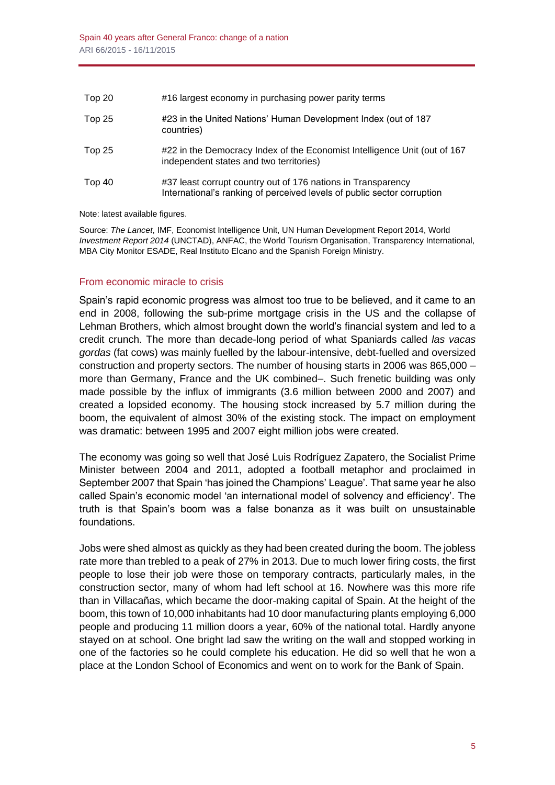| Top 20 | #16 largest economy in purchasing power parity terms                                                                                    |
|--------|-----------------------------------------------------------------------------------------------------------------------------------------|
| Top 25 | #23 in the United Nations' Human Development Index (out of 187<br>countries)                                                            |
| Top 25 | #22 in the Democracy Index of the Economist Intelligence Unit (out of 167<br>independent states and two territories)                    |
| Top 40 | #37 least corrupt country out of 176 nations in Transparency<br>International's ranking of perceived levels of public sector corruption |

#### Note: latest available figures.

Source: *The Lancet*, IMF, Economist Intelligence Unit, UN Human Development Report 2014, World *Investment Report 2014* (UNCTAD), ANFAC, the World Tourism Organisation, Transparency International, MBA City Monitor ESADE, Real Instituto Elcano and the Spanish Foreign Ministry.

# From economic miracle to crisis

Spain's rapid economic progress was almost too true to be believed, and it came to an end in 2008, following the sub-prime mortgage crisis in the US and the collapse of Lehman Brothers, which almost brought down the world's financial system and led to a credit crunch. The more than decade-long period of what Spaniards called *las vacas gordas* (fat cows) was mainly fuelled by the labour-intensive, debt-fuelled and oversized construction and property sectors. The number of housing starts in 2006 was 865,000 – more than Germany, France and the UK combined–. Such frenetic building was only made possible by the influx of immigrants (3.6 million between 2000 and 2007) and created a lopsided economy. The housing stock increased by 5.7 million during the boom, the equivalent of almost 30% of the existing stock. The impact on employment was dramatic: between 1995 and 2007 eight million jobs were created.

The economy was going so well that José Luis Rodríguez Zapatero, the Socialist Prime Minister between 2004 and 2011, adopted a football metaphor and proclaimed in September 2007 that Spain 'has joined the Champions' League'. That same year he also called Spain's economic model 'an international model of solvency and efficiency'. The truth is that Spain's boom was a false bonanza as it was built on unsustainable foundations.

Jobs were shed almost as quickly as they had been created during the boom. The jobless rate more than trebled to a peak of 27% in 2013. Due to much lower firing costs, the first people to lose their job were those on temporary contracts, particularly males, in the construction sector, many of whom had left school at 16. Nowhere was this more rife than in Villacañas, which became the door-making capital of Spain. At the height of the boom, this town of 10,000 inhabitants had 10 door manufacturing plants employing 6,000 people and producing 11 million doors a year, 60% of the national total. Hardly anyone stayed on at school. One bright lad saw the writing on the wall and stopped working in one of the factories so he could complete his education. He did so well that he won a place at the London School of Economics and went on to work for the Bank of Spain.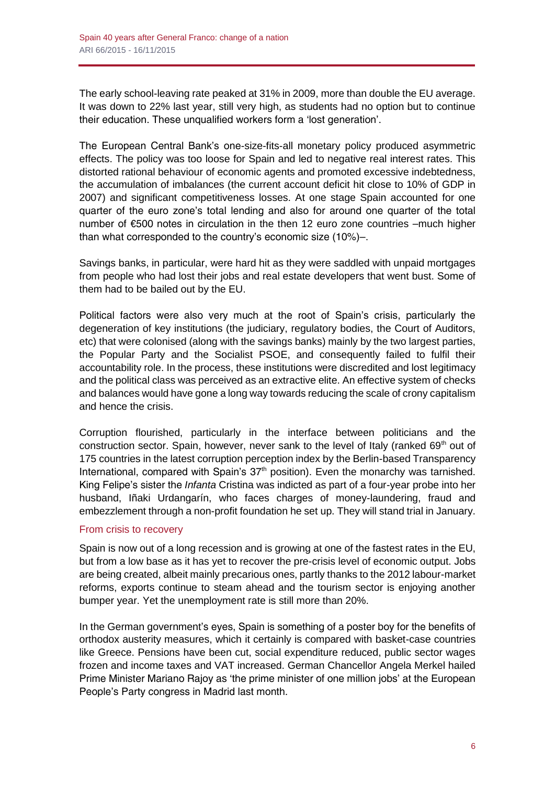The early school-leaving rate peaked at 31% in 2009, more than double the EU average. It was down to 22% last year, still very high, as students had no option but to continue their education. These unqualified workers form a 'lost generation'.

The European Central Bank's one-size-fits-all monetary policy produced asymmetric effects. The policy was too loose for Spain and led to negative real interest rates. This distorted rational behaviour of economic agents and promoted excessive indebtedness, the accumulation of imbalances (the current account deficit hit close to 10% of GDP in 2007) and significant competitiveness losses. At one stage Spain accounted for one quarter of the euro zone's total lending and also for around one quarter of the total number of €500 notes in circulation in the then 12 euro zone countries –much higher than what corresponded to the country's economic size (10%)–.

Savings banks, in particular, were hard hit as they were saddled with unpaid mortgages from people who had lost their jobs and real estate developers that went bust. Some of them had to be bailed out by the EU.

Political factors were also very much at the root of Spain's crisis, particularly the degeneration of key institutions (the judiciary, regulatory bodies, the Court of Auditors, etc) that were colonised (along with the savings banks) mainly by the two largest parties, the Popular Party and the Socialist PSOE, and consequently failed to fulfil their accountability role. In the process, these institutions were discredited and lost legitimacy and the political class was perceived as an extractive elite. An effective system of checks and balances would have gone a long way towards reducing the scale of crony capitalism and hence the crisis.

Corruption flourished, particularly in the interface between politicians and the construction sector. Spain, however, never sank to the level of Italy (ranked  $69<sup>th</sup>$  out of 175 countries in the latest corruption perception index by the Berlin-based Transparency International, compared with Spain's  $37<sup>th</sup>$  position). Even the monarchy was tarnished. King Felipe's sister the *Infanta* Cristina was indicted as part of a four-year probe into her husband, Iñaki Urdangarín, who faces charges of money-laundering, fraud and embezzlement through a non-profit foundation he set up. They will stand trial in January.

# From crisis to recovery

Spain is now out of a long recession and is growing at one of the fastest rates in the EU, but from a low base as it has yet to recover the pre-crisis level of economic output. Jobs are being created, albeit mainly precarious ones, partly thanks to the 2012 labour-market reforms, exports continue to steam ahead and the tourism sector is enjoying another bumper year. Yet the unemployment rate is still more than 20%.

In the German government's eyes, Spain is something of a poster boy for the benefits of orthodox austerity measures, which it certainly is compared with basket-case countries like Greece. Pensions have been cut, social expenditure reduced, public sector wages frozen and income taxes and VAT increased. German Chancellor Angela Merkel hailed Prime Minister Mariano Rajoy as 'the prime minister of one million jobs' at the European People's Party congress in Madrid last month.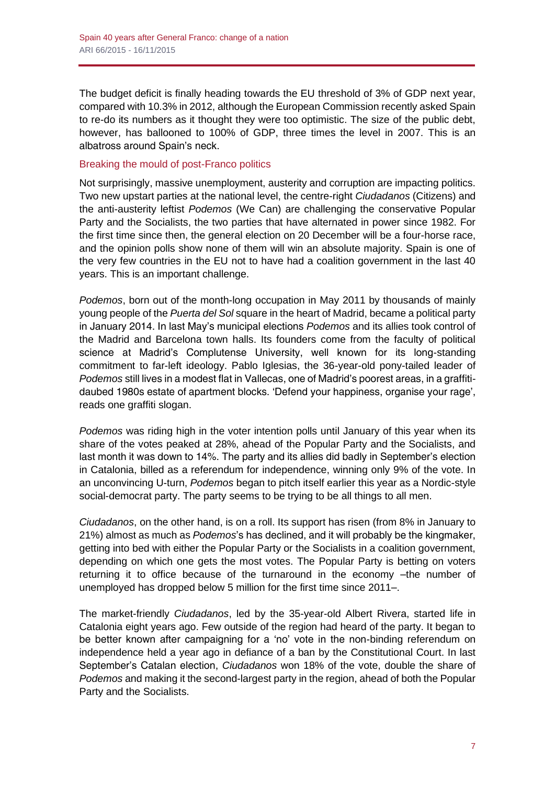The budget deficit is finally heading towards the EU threshold of 3% of GDP next year, compared with 10.3% in 2012, although the European Commission recently asked Spain to re-do its numbers as it thought they were too optimistic. The size of the public debt, however, has ballooned to 100% of GDP, three times the level in 2007. This is an albatross around Spain's neck.

### Breaking the mould of post-Franco politics

Not surprisingly, massive unemployment, austerity and corruption are impacting politics. Two new upstart parties at the national level, the centre-right *Ciudadanos* (Citizens) and the anti-austerity leftist *Podemos* (We Can) are challenging the conservative Popular Party and the Socialists, the two parties that have alternated in power since 1982. For the first time since then, the general election on 20 December will be a four-horse race, and the opinion polls show none of them will win an absolute majority. Spain is one of the very few countries in the EU not to have had a coalition government in the last 40 years. This is an important challenge.

*Podemos*, born out of the month-long occupation in May 2011 by thousands of mainly young people of the *Puerta del Sol* square in the heart of Madrid, became a political party in January 2014. In last May's municipal elections *Podemos* and its allies took control of the Madrid and Barcelona town halls. Its founders come from the faculty of political science at Madrid's Complutense University, well known for its long-standing commitment to far-left ideology. Pablo Iglesias, the 36-year-old pony-tailed leader of *Podemos* still lives in a modest flat in Vallecas, one of Madrid's poorest areas, in a graffitidaubed 1980s estate of apartment blocks. 'Defend your happiness, organise your rage', reads one graffiti slogan.

*Podemos* was riding high in the voter intention polls until January of this year when its share of the votes peaked at 28%, ahead of the Popular Party and the Socialists, and last month it was down to 14%. The party and its allies did badly in September's election in Catalonia, billed as a referendum for independence, winning only 9% of the vote. In an unconvincing U-turn, *Podemos* began to pitch itself earlier this year as a Nordic-style social-democrat party. The party seems to be trying to be all things to all men.

*Ciudadanos*, on the other hand, is on a roll. Its support has risen (from 8% in January to 21%) almost as much as *Podemos*'s has declined, and it will probably be the kingmaker, getting into bed with either the Popular Party or the Socialists in a coalition government, depending on which one gets the most votes. The Popular Party is betting on voters returning it to office because of the turnaround in the economy –the number of unemployed has dropped below 5 million for the first time since 2011–.

The market-friendly *Ciudadanos*, led by the 35-year-old Albert Rivera, started life in Catalonia eight years ago. Few outside of the region had heard of the party. It began to be better known after campaigning for a 'no' vote in the non-binding referendum on independence held a year ago in defiance of a ban by the Constitutional Court. In last September's Catalan election, *Ciudadanos* won 18% of the vote, double the share of *Podemos* and making it the second-largest party in the region, ahead of both the Popular Party and the Socialists.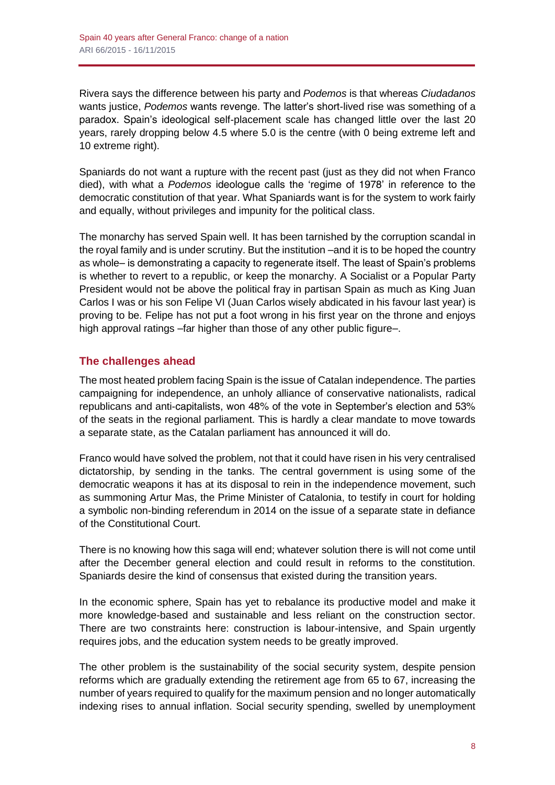Rivera says the difference between his party and *Podemos* is that whereas *Ciudadanos* wants justice, *Podemos* wants revenge. The latter's short-lived rise was something of a paradox. Spain's ideological self-placement scale has changed little over the last 20 years, rarely dropping below 4.5 where 5.0 is the centre (with 0 being extreme left and 10 extreme right).

Spaniards do not want a rupture with the recent past (just as they did not when Franco died), with what a *Podemos* ideologue calls the 'regime of 1978' in reference to the democratic constitution of that year. What Spaniards want is for the system to work fairly and equally, without privileges and impunity for the political class.

The monarchy has served Spain well. It has been tarnished by the corruption scandal in the royal family and is under scrutiny. But the institution –and it is to be hoped the country as whole– is demonstrating a capacity to regenerate itself. The least of Spain's problems is whether to revert to a republic, or keep the monarchy. A Socialist or a Popular Party President would not be above the political fray in partisan Spain as much as King Juan Carlos I was or his son Felipe VI (Juan Carlos wisely abdicated in his favour last year) is proving to be. Felipe has not put a foot wrong in his first year on the throne and enjoys high approval ratings –far higher than those of any other public figure–.

# **The challenges ahead**

The most heated problem facing Spain is the issue of Catalan independence. The parties campaigning for independence, an unholy alliance of conservative nationalists, radical republicans and anti-capitalists, won 48% of the vote in September's election and 53% of the seats in the regional parliament. This is hardly a clear mandate to move towards a separate state, as the Catalan parliament has announced it will do.

Franco would have solved the problem, not that it could have risen in his very centralised dictatorship, by sending in the tanks. The central government is using some of the democratic weapons it has at its disposal to rein in the independence movement, such as summoning Artur Mas, the Prime Minister of Catalonia, to testify in court for holding a symbolic non-binding referendum in 2014 on the issue of a separate state in defiance of the Constitutional Court.

There is no knowing how this saga will end; whatever solution there is will not come until after the December general election and could result in reforms to the constitution. Spaniards desire the kind of consensus that existed during the transition years.

In the economic sphere, Spain has yet to rebalance its productive model and make it more knowledge-based and sustainable and less reliant on the construction sector. There are two constraints here: construction is labour-intensive, and Spain urgently requires jobs, and the education system needs to be greatly improved.

The other problem is the sustainability of the social security system, despite pension reforms which are gradually extending the retirement age from 65 to 67, increasing the number of years required to qualify for the maximum pension and no longer automatically indexing rises to annual inflation. Social security spending, swelled by unemployment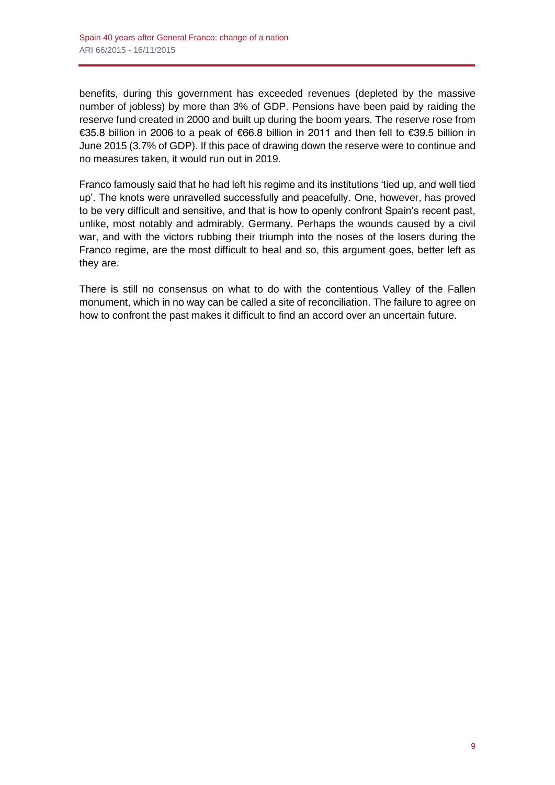benefits, during this government has exceeded revenues (depleted by the massive number of jobless) by more than 3% of GDP. Pensions have been paid by raiding the reserve fund created in 2000 and built up during the boom years. The reserve rose from €35.8 billion in 2006 to a peak of €66.8 billion in 2011 and then fell to €39.5 billion in June 2015 (3.7% of GDP). If this pace of drawing down the reserve were to continue and no measures taken, it would run out in 2019.

Franco famously said that he had left his regime and its institutions 'tied up, and well tied up'. The knots were unravelled successfully and peacefully. One, however, has proved to be very difficult and sensitive, and that is how to openly confront Spain's recent past, unlike, most notably and admirably, Germany. Perhaps the wounds caused by a civil war, and with the victors rubbing their triumph into the noses of the losers during the Franco regime, are the most difficult to heal and so, this argument goes, better left as they are.

There is still no consensus on what to do with the contentious Valley of the Fallen monument, which in no way can be called a site of reconciliation. The failure to agree on how to confront the past makes it difficult to find an accord over an uncertain future.